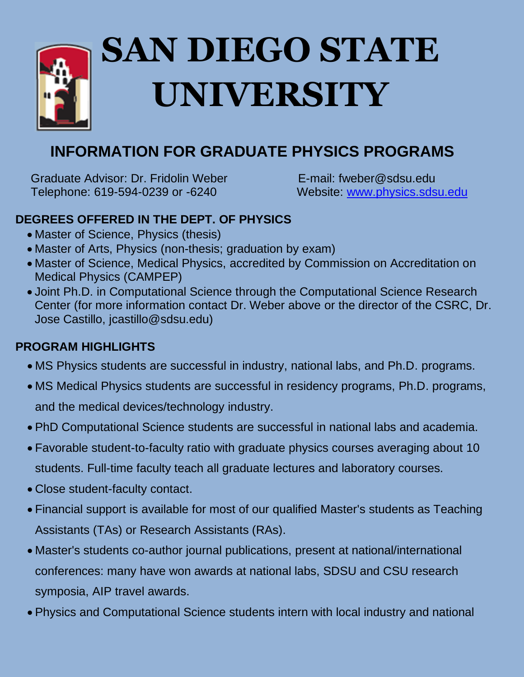

# **SAN DIEGO STATE UNIVERSITY**

# **INFORMATION FOR GRADUATE PHYSICS PROGRAMS**

Graduate Advisor: Dr. Fridolin Weber E-mail: fweber@sdsu.edu Telephone: 619-594-0239 or -6240 Website: [www.physics.sdsu.edu](http://www.physics.sdsu.edu/)

# **DEGREES OFFERED IN THE DEPT. OF PHYSICS**

- Master of Science, Physics (thesis)
- Master of Arts, Physics (non-thesis; graduation by exam)
- Master of Science, Medical Physics, accredited by Commission on Accreditation on Medical Physics (CAMPEP)
- Joint Ph.D. in Computational Science through the Computational Science Research Center (for more information contact Dr. Weber above or the director of the CSRC, Dr. Jose Castillo, jcastillo@sdsu.edu)

## **PROGRAM HIGHLIGHTS**

- MS Physics students are successful in industry, national labs, and Ph.D. programs.
- MS Medical Physics students are successful in residency programs, Ph.D. programs, and the medical devices/technology industry.
- PhD Computational Science students are successful in national labs and academia.
- Favorable student-to-faculty ratio with graduate physics courses averaging about 10 students. Full-time faculty teach all graduate lectures and laboratory courses.
- Close student-faculty contact.
- Financial support is available for most of our qualified Master's students as Teaching Assistants (TAs) or Research Assistants (RAs).
- Master's students co-author journal publications, present at national/international conferences: many have won awards at national labs, SDSU and CSU research symposia, AIP travel awards.
- Physics and Computational Science students intern with local industry and national